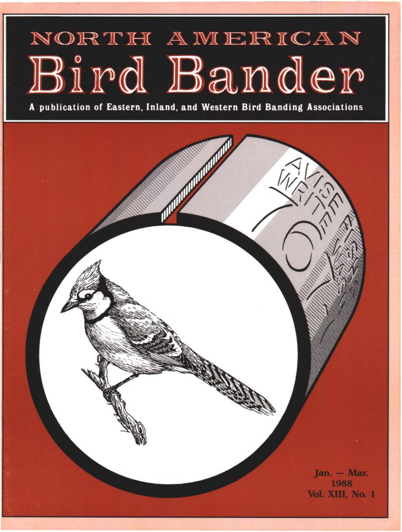# NORTH AMERICAN Bird Bander

**A publication of Eastern, Inland, and Western Bird Banding Associations** 

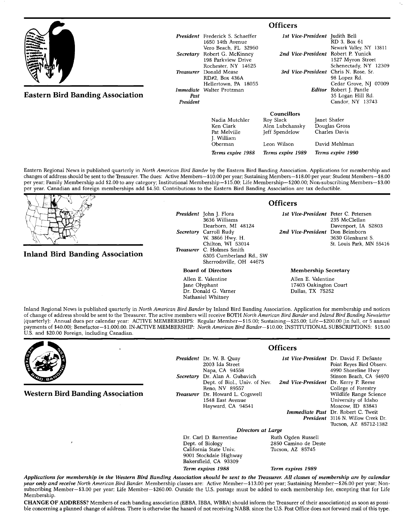|                                         | <b>Officers</b>   |                                                                                         |                                                |                                                                                                                                                                                                |                                                           |  |
|-----------------------------------------|-------------------|-----------------------------------------------------------------------------------------|------------------------------------------------|------------------------------------------------------------------------------------------------------------------------------------------------------------------------------------------------|-----------------------------------------------------------|--|
|                                         |                   | <b>President</b> Frederick S. Schaeffer<br>1650 14th Avenue                             |                                                |                                                                                                                                                                                                | <b>1st Vice-President</b> Judith Bell<br>RD 3. Box 61     |  |
|                                         | Secretary         | Vero Beach, FL 32960<br>Robert G. McKinney<br>198 Parkview Drive<br>Rochester, NY 14625 |                                                | Newark Valley, NY 13811<br>2nd Vice-President Robert P. Yunick<br>1527 Myron Street<br>Schenectady, NY 12309<br>3rd Vice-President Chris N. Rose, Sr.<br>98 Lopez Rd.<br>Cedar Grove, NJ 07009 |                                                           |  |
|                                         | Treasurer         | Donald Mease<br>RD#2. Box 436A<br>Hellertown, PA 18055                                  |                                                |                                                                                                                                                                                                |                                                           |  |
| <b>Eastern Bird Banding Association</b> | Past<br>President | Immediate Walter Protzman                                                               |                                                | Editor                                                                                                                                                                                         | Robert J. Pantle<br>35 Logan Hill Rd.<br>Candor, NY 13743 |  |
|                                         |                   |                                                                                         | <b>Councillors</b>                             |                                                                                                                                                                                                |                                                           |  |
|                                         |                   | Nadia Mutchler<br>Ken Clark<br>Pat Melville<br>I William                                | Roy Slack<br>Alen Lubchansky<br>Jeff Spendelow |                                                                                                                                                                                                | Janet Shafer<br>Douglas Gross<br>Charles Davis            |  |

**Eastern Regional News is published quarterly in North American Bird Bander by the Eastern Bird Banding Association. Applications for membership and changes of addresshould be sent to the Treasurer. The dues: Active Members--\$10.00 per year; Sustaining Members-- \$18.00 per year; Student Members-- \$ 8.00 per year; Family Membership add \$2.00 to any category; Institutional Membership--\$15.00; Life Membership--S200.00; Non-subscribing Members--S3.00 per year. Canadian and foreign memberships add \$4.50. Contributions to the Eastern Bird Banding Association are tax deductible.** 

*Oberman* 

# **Inland Bird Banding Association**

**President John J. Flora 3636 Williams Dearborn, MI 48124 Secretary Carroll Rudy W. 3866 Hwy. H. Chilton, WI 53014 Treasurer C. Holmes Smith 6305 Cumberland Rd., SW Sherrodsville, OH 44675** 

**Board of Directors** 

**Allen E. Valentine Jane Olyphant Dr. Donald G. Varner Nathaniel Whitney** 

#### **Officers**

**Terms expire 1988 Terms expire 1989 Terms expire 1990** 

**1st Vice-President Peter C. Petersen 235 McClellan Davenport, IA 52803 2nd Vice-President Don Beimborn 3630 Glenhurst S. St. Louis Park, MN 55416** 

#### **Membership Secretary**

Leon Wilson David Mehlman

**Allen E. Valentine 17403 Oakington Court Dallas, TX 75252** 

**Inland Regional News is published quarterly in North American Bird Bander by Inland Bird Banding Association. Application for membership and notices of change of address should be sent to the Treasurer. The active members will receive BOTH North American Bird Bander and Inland Bird Banding Newsletter {quarterly): Annual dues per calendar year: ACTIVE MEMBERSHIPS: Regular Member--\$15.00; Sustaining--S25.00; Life--S200.00 (in full, or 5 annual**  payments of \$40.00); Benefactor-\$1,000.00. IN-ACTIVE MEMBERSHIP: North American Bird Bander-\$10.00; INSTITUTIONAL SUBSCRIPTIONS: \$15.00 **U.S. and \$20.00 Foreign, including Canadian.** 



**Western Bird Banding Association** 

**President Dr. W. B. Quay 2003 Ida Street Napa, CA 94558 Secretary Dr. Alan A. Gubavich Dept. of Biol., Univ. of Nev. Reno, NV 89557 Treasurer Dr. Howard L. Cogswell 1548 East Avenue Hayward, CA 94541** 

**Officers** 

**ist Vice-President Dr. David E DeSante 2rid Vice-President Immediate Past** Dr. Robert C. Twei **President 3116 N. Willow Creek Dr. Point Reyes Bird Observ. 4990 Shoreline Hwy Stinson Beach, CA 94970 Dr. Kerry P. Reese College of Forestry Wildlife Range Science University of Idaho Moscow, ID 83843 Tucson, AZ 85712-1382** 

**Directors at Large**<br>Dr. Carl D. Barrentine **Buth Dr. Carl D. Barrentine Ruth Ogden Russell California State Univ. 9001 Stockdale Highway Bakersfield, CA 93309 Term expires 1988 Term expires 1989** 

2850 Camino de Deste<br>Tucson, AZ 85745

Applications for membership in the Western Bird Banding Association should be sent to the Treasurer. All classes of membership are by calendar year only and receive North American Bird Bander. Membership classes are: Active Member-\$13.00 per year; Sustaining Member-\$26.00 per year; Nonsubscribing Member-\$3.00 per year; Life Member-\$260.00. Outside the U.S. postage must be added to each membership fee, excepting that for Life **Membership.** 

**CHANGE OF ADDRESS? Members of each banding association {EBB& IBBA, WBBA} should inform the Treasurer of their association{s} as soon as possible concerning a planned change of address. There is otherwise the hazard of not receiving NABB, since the U.S. Post Office does not forward mail of this type.**